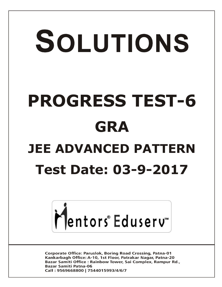## SOLUTIONS **PROGRESS TEST-6 GRA JEE ADVANCED PATTERN Test Date: 03-9-2017**



**Corporate Office: Paruslok, Boring Road Crossing, Patna-01** Kankarbagh Office: A-10, 1st Floor, Patrakar Nagar, Patna-20 Bazar Samiti Office: Rainbow Tower, Sai Complex, Rampur Rd., **Bazar Samiti Patna-06** Call: 9569668800 | 7544015993/4/6/7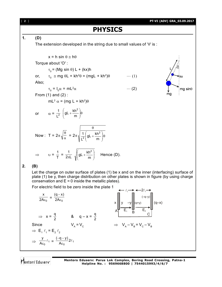[ **2** ] **PT-VI (ADV) GRA\_03.09.2017 PHYSICS 1. (D)** The extension developed in the string due to small values of  $\theta$  is :  $x = h \sin \theta \approx h\theta$ Torque about 'O' :  $\tau_0$  = (Mg sin  $\theta$ ) L + (kx)h  $\tau_0 \equiv$  mg  $\theta L$  + kh<sup>2</sup> $\theta$  = (mgL + kh<sup>2</sup>) $\theta$  $\cdots$  (1) or, Also; 0 = I<sup>0</sup> = mL<sup>2</sup> (2)  $ma \sin\theta$ From (1) and (2) : mL $^2$   $\alpha$  = (mg L + kh $^2) \theta$ gL +  $\frac{kh^2}{m}$ ſ  $\setminus$  $rac{1}{2}$   $\left( gL + \frac{kh^2}{m} \right) \theta$  $\overline{\phantom{a}}$ or  $\alpha = \frac{1}{L^2}$  $\setminus$  $\bigg)$  $\theta$  $\frac{\theta}{\alpha}$  = 2 $\pi \sqrt{\frac{1}{1^2} \left( g L + \frac{kh^2}{m} \right)} \theta$  $1\left(\begin{array}{ccc} 1 & k h^2 \end{array}\right)$  $\int$ gL +  $\overline{\phantom{a}}$ gL +  $\frac{kh}{m}$ Now : T = 2 $\pi \sqrt{\frac{c}{\alpha}}$  $\overline{\phantom{a}}$ 2 L  $\backslash$ J ſ gL +  $\frac{kh^2}{m}$  $\mathcal{L}$  $\Rightarrow$   $v = \frac{1}{T} = \frac{1}{2\pi L}$  $\frac{1}{\pi L}$   $\sqrt{gL + \frac{N}{m}}$  $\overline{\phantom{a}}$ Hence (D).  $\setminus$ J **2. (B)** Let the charge on outer surface of plates (1) be x and on the inner (interfacing) surface of plate (1) be y, then charge distribution on other plates is shown in figure (by using charge conservation and  $E = 0$  inside the metallic plates). For electric field to be zero inside the plate 1  $\ell_1 \rightarrow \leftarrow 2\ell_1$ x  $(q - x)$ -(–q–y)  $\frac{1}{\epsilon_0} = \frac{1}{2A\epsilon_0}$ 2A $\epsilon_{\mathsf{0}}$  $\epsilon$  $x \parallel y \quad -y \parallel (q+y) \qquad \parallel (q-x)$  $E_1$   $B_2$ A  $\Rightarrow$   $x = \frac{q}{2}$  &  $q - x = \frac{q}{2}$ C Since  $V_{A}$  $= V_c$   $\Rightarrow V_A - V_B = V_c - V_B$  $\Rightarrow$  E<sub>1</sub>  $\ell_1$  = E<sub>2</sub>  $\ell_2$  $\frac{y}{\ell}$  $\frac{(-q-y)}{2\ell}$  $-q \frac{9}{\text{A}\varepsilon_0}$ <sup>2</sup>  $\Rightarrow \frac{1}{A\varepsilon_0}$   $\ell_1$  $\frac{\epsilon_0}{\epsilon_0}$   $\ell_1 = \frac{\epsilon_0}{\epsilon_0}$   $2\ell_1$  $\epsilon$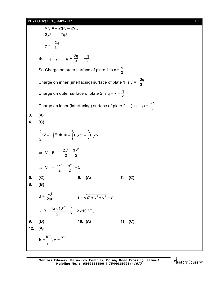$y\ell_1 = -2q\ell_1 - 2y\ell_1$  $3y\ell_1 = -2q\ell_1$  $y = \frac{-2q}{3}$ So, – q – y = – q +  $\frac{2q}{3} = \frac{-q}{3}$ So,Charge on outer surface of plate 1 is  $x = \frac{q}{2}$ Charge on inner (interfacing) surface of plate 1 is y =  $\frac{-2q}{3}$ Charge on outer surface of plate 2 is  $q - x = \frac{q}{2}$ Charge on inner (interfacing) surface of plate 2 is  $(-q - y) = \frac{-q}{3}$ **3. (A) 4. (C)**  $\int dV = -\int \vec{E} \cdot dr$ v 5  $\overline{\phantom{a}}$  $=-\int$ x  $\int_{0}^{\infty} \mathsf{E}_{\mathsf{x}} \mathsf{d} \mathsf{x} \ - \ \int_{0}^{\infty}$ y 0 E<sub>y</sub>dy  $\Rightarrow$  V – 5 = –  $\frac{2k}{2}$  –  $\frac{09}{2}$ 3y 2  $2x^2$   $3y^2$ - $\Rightarrow$  V =  $-\frac{2k}{2}-\frac{8k}{2}$ 3y 2  $2x^2$   $3y^2$  $-\frac{y}{2}$  + 5. **5. (C) 6. (A) 7. (C) 8. (B)**  $B =$  $\mu$  $\pi$ i<br>0  $rac{16}{2\pi r}$   $r = \sqrt{2^2 + 3^2 + 6^2} = 7$  $\therefore$  $=\frac{4\pi\times10^{-7}}{2} \times \frac{7}{7}=2\times10^{-7}$  $\pi$  $B = \frac{4\pi \times 10^{-7}}{2\pi} \times \frac{7}{7} = 2 \times 10^{-7} T$ . **9. (D) 10. (A) 11. (C) 12. (A)**  $E = \frac{KQ}{r^2}$ ,  $V = \frac{Kv}{r}$  $r^2$  r  $=\frac{1}{2}$ , V =  $\frac{1}{2}$ 

 $\overline{\mathbf{g}}$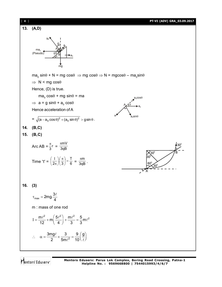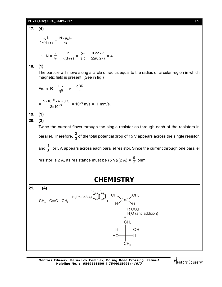## **PT-VI (ADV) GRA\_03.09.2017** [ **5** ]

**17. (4)**  $2\pi$ (d + r) ..<br>0 <sup>.i</sup>1  $\pi$ (d + μ  $=\frac{N \times \mu_0 i_2}{2r}$  $\Rightarrow$  N =  $\frac{1}{i_2}$ 1 i i .  $\frac{r}{\pi(d+r)}$  $\frac{r}{\pi(d+r)} = \frac{54}{3.5} \cdot \frac{0.22 \times 7}{22(0.27)} = 4$ **18. (1)** The particle will move along a circle of radius equal to the radius of circular region in which magnetic field is present. (See in fig.) From  $R = \frac{mv}{qB}$ ;  $v = \frac{qB}{m}$ qBR  $=\frac{1}{2 \times 10^{-3}}$ 6  $2\times 10$  $5\times$ 10 $^{-$ o $\times$ 4 $\times$ (0.1) -- $\times$  $\frac{\times 10^{-6} \times 4 \times (0.1)}{0.40^{-3}} = 10^{-3} \text{ m/s} = 1 \text{ mm/s}.$ **19. (1) 20. (2)** Twice the current flows through the single resistor as through each of the resistors in parallel. Therefore,  $\frac{2}{3}$  of the total potential drop of 15 V appears across the single resistor, and  $\frac{1}{3}$  , or 5V, appears across each parallel resistor. Since the current through one parallel resistor is 2 A, its resistance must be (5 V)/(2 A) =  $\frac{5}{2}$  ohm. **CHEMISTRY 21. (A)** C=C  $\mathsf{CH}_3$ CH<sub>3</sub>—C≡C—CH<sub>3</sub> H<sub>2</sub>/Pd-BaSO<sub>4</sub>/ **2** 1 **2** CH<sub>3</sub>  $H'$   $\rightarrow$   $H$  $\mathsf{R}\:\mathsf{CO}_{\mathsf{3}}\mathsf{H}$  $H_2O$  (anti addition) 2  $CH<sub>3</sub>$  $\mathsf{CH}_3$ OH H H HO N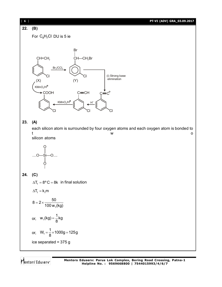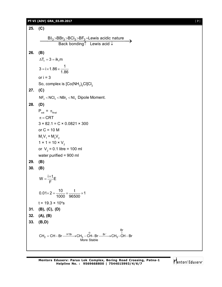## **PT-VI (ADV) GRA\_03.09.2017** [ **7** ]

**25. (C)** BI $_3$ >BBr $_3$ >BCl $_3$ >BF $_3$ =Lewis acidic nature  $\overline{B I_3} > B B I_3 > B C I_3 > B F_3 =$ Lewis acidic nature<br>Back bonding↑ Lewis acid ↓ **26. (B)**  $\Delta T_f = 3 = i k_f m$  $3 = i \times 1.86 \times \frac{1}{1.8}$ 1.86  $=$  i  $\times$  1.86  $\times$  or  $i = 3$ So, complex is [Co(NH $_{\rm 3})_{\rm 5}$ Cl]Cl $_{\rm 2}$ **27. (C)**  $NF_3$  <  $NCI_3$  <  $NBr_3$  <  $NI_3$  Dipole Moment. **28. (D)**  $P_{ext} = \pi_{final}$  $\pi$  = CRT  $3 \times 82.1 = C \times 0.0821 \times 300$ or  $C = 10$  M  $M_1V_1 = M_2V_2$  $1 \times 1 = 10 \times V_2$ or  $V_2$  = 0.1 litre = 100 ml water purified = 900 ml **29. (B) 30. (B)**  $W = \frac{i \times t}{T}E$ F  $=\frac{i\times}{E}$  $0.01 \times 2 = \frac{10}{1000} \times \frac{t}{0.0500} \times 1$ 1000 96500  $\times$  2 =  $\frac{18}{1000} \times \frac{1}{00500} \times 1$  $t = 19.3 \times 10^{4} s$ **31. (B), (C), (D) 32. (A), (B) 33. (B,D)**  $_2 = CH - Br \xrightarrow{H^+Br} CH_3 - CH - Br \xrightarrow{Br^-} CH_3 - C$ Br More Stable  $CH_2 = CH - Br \xrightarrow{H^+Br} CH_3 - CH - Br \xrightarrow{Br^-} CH_3-CH - Br$ 

Mentors Eduserv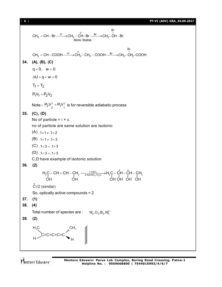[ **8** ] **PT-VI (ADV) GRA\_03.09.2017**

 $_{2} = CH - Br \xrightarrow{H^{+}} CH_{3} - CH - Br \xrightarrow{Br^{-}} CH_{3} - C$ Br More Stable  $CH_2 = CH - Br \xrightarrow{H^+} CH_3 - \overset{\oplus}{CH} - Br \xrightarrow{Br^-} CH_3 - \overset{\oplus}{CH} - Br$  $\mu_2 = \text{CH}-\text{COOH}\xrightarrow{\text{H}^+} \text{CH}_2-\text{CH}_2-\text{COOH}\xrightarrow{\text{Br}^-} \text{CH}_2-\overset{\text{I}}{\text{CH}_2}.$ Br  $CH_2 = CH - COOH \xrightarrow{H^+} CH_2 - CH_2 - COOH \xrightarrow{Br^-} CH_2 - CH_2-COH$ **34. (A), (B), (C)**  $q = 0$ ,  $w = 0$  $\Delta U = q + w = 0$  $T_1 = T_2$  $P_1 V_1 = P_2 V_2$ Note:-  $P_2 V_2^{\gamma} = P_1 V_1^{\gamma}$  is for reversible adiabatic process **35. (C), (D)** No of particle  $= i \times c$ no of particle are same solution are isotonic  $(A)$  .  $1 \times 1 \ne 1 \times 2$  $(B)$ . 1×1  $\neq$ . 1×3  $(C)$ ,  $1 \times 3 = 0.1 \times 3$  $(D)$ ,  $1 \times 3 = 0.1 \times 3$ C,D have example of isotonic solution **36. (2)** OH OH 4  ${\sf H_2C}$  – CH = CH – CH $_2$   $\longrightarrow \frac{1.0 {\rm SO}_4}{2.{\rm NaHSO}_3/{\rm H_2O}}$   $\rightarrow$  H $_2$ C – CH – CH – CH $_2$ OH OH OH OH \* \*  $\hat{C}$ =2 (similar) So, optically active compounds = 2 **37. (1) 38. (4)** Total number of species are :  $N_2^{\scriptscriptstyle +},O_2^{\scriptscriptstyle -},B_2^{\scriptscriptstyle -},N_2^{\scriptscriptstyle 2 -}$ **39. (2)** C=C=C=C=C  $\mathsf{H}_3\mathsf{C}$ H  $\mathsf{CH}_3$ H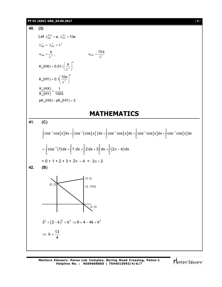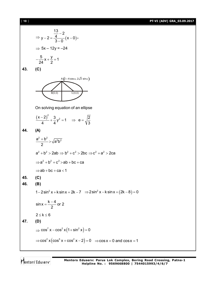[ **10** ] **PT-VI (ADV) GRA\_03.09.2017**

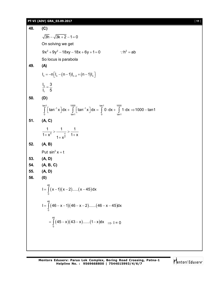## **PT-VI (ADV) GRA\_03.09.2017** [ **11** ]

**48. (C)**  $\sqrt{3h} - \sqrt{3k + 2} - 1 = 0$ On solving we get  $9x^{2} + 9y^{2} - 18xy - 18x + 6y + 1 = 0$  :  $h^{2} = ab$ So locus is parabola **49. (A)**  $I_n = -n \left[ I_n - (n - 1) I_{n - 2} + (n - 1) I_n \right]$ 3 1  $I_3$  3  $I_1$  5  $=$ **50. (D)** tan1 1000 tan1 1000<br>1 | ton<sup>=1</sup> y dy | [ton<sup>=1</sup> y dy | fo dy | f  $\int_{0}^{\infty} \left[ \tan^{-1} x \right] dx + \int_{\tan 1}^{\infty} \left[ \tan^{-1} x \right] dx = \int_{0}^{\infty} 0 \cdot dx + \int_{\tan 1}^{\infty} 1 \cdot dx \Rightarrow 1000 - \tan 1$ **51. (A, C)** 2 2 1 1 1  $\frac{1}{1+x^2} > \frac{1}{1+x^2} > \frac{1}{1+x}$ +  $x^2$   $1 + x^{\frac{\pi}{2}}$   $1 + y$ **52. (A, B)** Put  $\sin^2 x = t$ **53. (A, D) 54. (A, B, C) 55. (A, D) 56. (0)**  $(x-1)(x-2)....(x-45)$ 46  $I = \int_{0}^{1} (x-1)(x-2).....(x-45)dx$ (46 – x – 1)(46 – x – 2)……(46 – x – 45)( 46  $I = \int_{0}^{1} (46 - x - 1)(46 - x - 2)......(46 - x - 45)dx$  $(45-x)(43-x)......(1-x)$ 46  $= \int_{0}^{1} (45-x)(43-x)$ .......(1-x)dx  $\Rightarrow$  I = 0

Mentors Eduserv